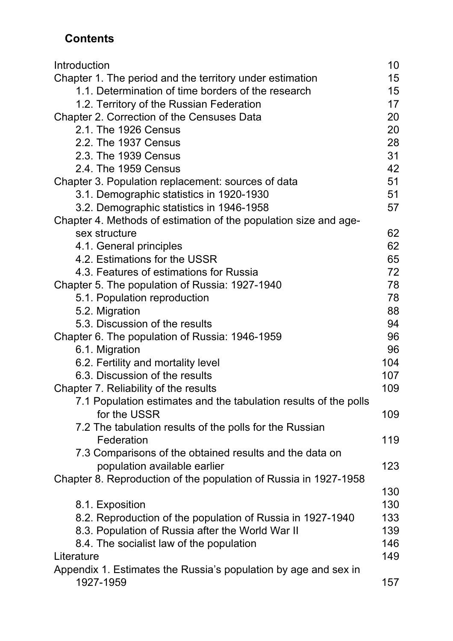## **Contents**

| Introduction                                                     | 10 <sub>1</sub> |
|------------------------------------------------------------------|-----------------|
| Chapter 1. The period and the territory under estimation         | 15              |
| 1.1. Determination of time borders of the research               | 15              |
| 1.2. Territory of the Russian Federation                         | 17              |
| Chapter 2. Correction of the Censuses Data                       | 20              |
| 2.1. The 1926 Census                                             | 20              |
| 2.2. The 1937 Census                                             | 28              |
| 2.3. The 1939 Census                                             | 31              |
| 2.4. The 1959 Census                                             | 42              |
| Chapter 3. Population replacement: sources of data               | 51              |
| 3.1. Demographic statistics in 1920-1930                         | 51              |
| 3.2. Demographic statistics in 1946-1958                         | 57              |
| Chapter 4. Methods of estimation of the population size and age- |                 |
| sex structure                                                    | 62              |
| 4.1. General principles                                          | 62              |
| 4.2. Estimations for the USSR                                    | 65              |
| 4.3. Features of estimations for Russia                          | 72              |
| Chapter 5. The population of Russia: 1927-1940                   | 78              |
| 5.1. Population reproduction                                     | 78              |
| 5.2. Migration                                                   | 88              |
| 5.3. Discussion of the results                                   | 94              |
| Chapter 6. The population of Russia: 1946-1959                   | 96              |
| 6.1. Migration                                                   | 96              |
| 6.2. Fertility and mortality level                               | 104             |
| 6.3. Discussion of the results                                   | 107             |
| Chapter 7. Reliability of the results                            | 109             |
| 7.1 Population estimates and the tabulation results of the polls |                 |
| for the USSR                                                     | 109             |
| 7.2 The tabulation results of the polls for the Russian          |                 |
| Federation                                                       | 119             |
| 7.3 Comparisons of the obtained results and the data on          |                 |
| population available earlier                                     | 123             |
| Chapter 8. Reproduction of the population of Russia in 1927-1958 |                 |
|                                                                  | 130             |
| 8.1. Exposition                                                  | 130             |
| 8.2. Reproduction of the population of Russia in 1927-1940       | 133             |
| 8.3. Population of Russia after the World War II                 | 139             |
| 8.4. The socialist law of the population                         | 146             |
| Literature                                                       | 149             |
| Appendix 1. Estimates the Russia's population by age and sex in  |                 |
| 1927-1959                                                        | 157             |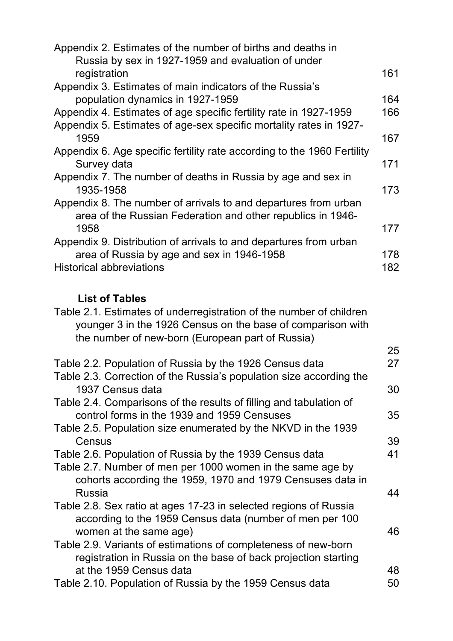| Appendix 2. Estimates of the number of births and deaths in             |     |
|-------------------------------------------------------------------------|-----|
| Russia by sex in 1927-1959 and evaluation of under                      |     |
| registration                                                            | 161 |
| Appendix 3. Estimates of main indicators of the Russia's                |     |
| population dynamics in 1927-1959                                        | 164 |
| Appendix 4. Estimates of age specific fertility rate in 1927-1959       | 166 |
| Appendix 5. Estimates of age-sex specific mortality rates in 1927-      |     |
| 1959                                                                    | 167 |
| Appendix 6. Age specific fertility rate according to the 1960 Fertility |     |
| Survey data                                                             | 171 |
| Appendix 7. The number of deaths in Russia by age and sex in            |     |
| 1935-1958                                                               | 173 |
| Appendix 8. The number of arrivals to and departures from urban         |     |
| area of the Russian Federation and other republics in 1946-             |     |
| 1958                                                                    | 177 |
| Appendix 9. Distribution of arrivals to and departures from urban       |     |
|                                                                         | 178 |
| <b>Historical abbreviations</b>                                         | 182 |
| area of Russia by age and sex in 1946-1958                              |     |

## **List of Tables**

| Table 2.1. Estimates of underregistration of the number of children<br>younger 3 in the 1926 Census on the base of comparison with |    |
|------------------------------------------------------------------------------------------------------------------------------------|----|
| the number of new-born (European part of Russia)                                                                                   |    |
|                                                                                                                                    | 25 |
| Table 2.2. Population of Russia by the 1926 Census data                                                                            | 27 |
| Table 2.3. Correction of the Russia's population size according the                                                                |    |
| 1937 Census data                                                                                                                   | 30 |
| Table 2.4. Comparisons of the results of filling and tabulation of                                                                 |    |
| control forms in the 1939 and 1959 Censuses                                                                                        | 35 |
| Table 2.5. Population size enumerated by the NKVD in the 1939                                                                      |    |
| Census                                                                                                                             | 39 |
| Table 2.6. Population of Russia by the 1939 Census data                                                                            | 41 |
| Table 2.7. Number of men per 1000 women in the same age by                                                                         |    |
|                                                                                                                                    |    |
| cohorts according the 1959, 1970 and 1979 Censuses data in                                                                         |    |
| <b>Russia</b>                                                                                                                      | 44 |
| Table 2.8. Sex ratio at ages 17-23 in selected regions of Russia                                                                   |    |
| according to the 1959 Census data (number of men per 100                                                                           |    |
| women at the same age)                                                                                                             | 46 |
| Table 2.9. Variants of estimations of completeness of new-born                                                                     |    |
| registration in Russia on the base of back projection starting                                                                     |    |
| at the 1959 Census data                                                                                                            | 48 |
| Table 2.10. Population of Russia by the 1959 Census data                                                                           | 50 |
|                                                                                                                                    |    |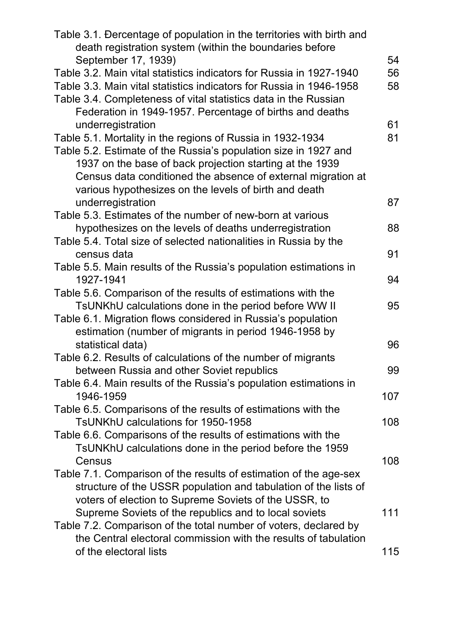| Table 3.1. Dercentage of population in the territories with birth and<br>death registration system (within the boundaries before |     |
|----------------------------------------------------------------------------------------------------------------------------------|-----|
| September 17, 1939)                                                                                                              | 54  |
| Table 3.2. Main vital statistics indicators for Russia in 1927-1940                                                              | 56  |
| Table 3.3. Main vital statistics indicators for Russia in 1946-1958                                                              | 58  |
| Table 3.4. Completeness of vital statistics data in the Russian                                                                  |     |
| Federation in 1949-1957. Percentage of births and deaths                                                                         |     |
| underregistration                                                                                                                | 61  |
| Table 5.1. Mortality in the regions of Russia in 1932-1934                                                                       | 81  |
| Table 5.2. Estimate of the Russia's population size in 1927 and                                                                  |     |
| 1937 on the base of back projection starting at the 1939                                                                         |     |
| Census data conditioned the absence of external migration at                                                                     |     |
| various hypothesizes on the levels of birth and death                                                                            |     |
| underregistration                                                                                                                | 87  |
| Table 5.3. Estimates of the number of new-born at various                                                                        |     |
| hypothesizes on the levels of deaths underregistration                                                                           | 88  |
| Table 5.4. Total size of selected nationalities in Russia by the                                                                 |     |
| census data                                                                                                                      | 91  |
| Table 5.5. Main results of the Russia's population estimations in                                                                |     |
| 1927-1941                                                                                                                        | 94  |
| Table 5.6. Comparison of the results of estimations with the                                                                     |     |
| TsUNKhU calculations done in the period before WW II                                                                             | 95  |
| Table 6.1. Migration flows considered in Russia's population                                                                     |     |
| estimation (number of migrants in period 1946-1958 by                                                                            |     |
| statistical data)                                                                                                                | 96  |
|                                                                                                                                  |     |
| Table 6.2. Results of calculations of the number of migrants                                                                     | 99  |
| between Russia and other Soviet republics                                                                                        |     |
| Table 6.4. Main results of the Russia's population estimations in                                                                |     |
| 1946-1959                                                                                                                        | 107 |
| Table 6.5. Comparisons of the results of estimations with the                                                                    |     |
| TsUNKhU calculations for 1950-1958                                                                                               | 108 |
| Table 6.6. Comparisons of the results of estimations with the                                                                    |     |
| TsUNKhU calculations done in the period before the 1959                                                                          |     |
| Census                                                                                                                           | 108 |
| Table 7.1. Comparison of the results of estimation of the age-sex                                                                |     |
| structure of the USSR population and tabulation of the lists of                                                                  |     |
| voters of election to Supreme Soviets of the USSR, to                                                                            |     |
| Supreme Soviets of the republics and to local soviets                                                                            | 111 |
| Table 7.2. Comparison of the total number of voters, declared by                                                                 |     |
| the Central electoral commission with the results of tabulation                                                                  |     |
| of the electoral lists                                                                                                           | 115 |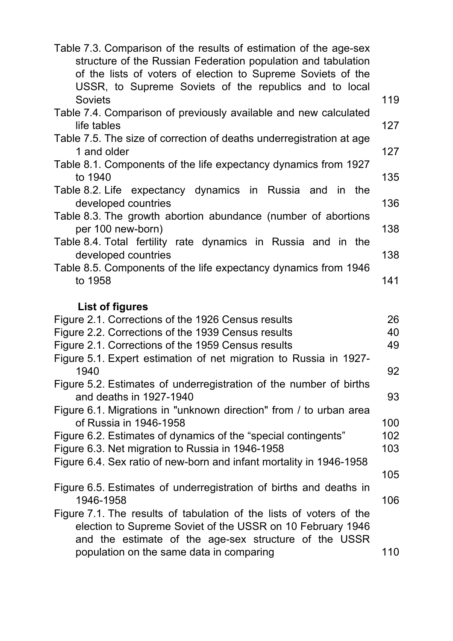| Table 7.3. Comparison of the results of estimation of the age-sex<br>structure of the Russian Federation population and tabulation<br>of the lists of voters of election to Supreme Soviets of the<br>USSR, to Supreme Soviets of the republics and to local |     |
|--------------------------------------------------------------------------------------------------------------------------------------------------------------------------------------------------------------------------------------------------------------|-----|
| <b>Soviets</b>                                                                                                                                                                                                                                               | 119 |
| Table 7.4. Comparison of previously available and new calculated                                                                                                                                                                                             |     |
| life tables                                                                                                                                                                                                                                                  | 127 |
| Table 7.5. The size of correction of deaths underregistration at age<br>1 and older                                                                                                                                                                          | 127 |
| Table 8.1. Components of the life expectancy dynamics from 1927<br>to 1940                                                                                                                                                                                   | 135 |
| Table 8.2. Life expectancy dynamics in Russia and in the<br>developed countries                                                                                                                                                                              | 136 |
| Table 8.3. The growth abortion abundance (number of abortions<br>per 100 new-born)                                                                                                                                                                           | 138 |
| Table 8.4. Total fertility rate dynamics in Russia and in the<br>developed countries                                                                                                                                                                         | 138 |
| Table 8.5. Components of the life expectancy dynamics from 1946<br>to 1958                                                                                                                                                                                   | 141 |
| <b>List of figures</b><br>Figure 2.1. Corrections of the 1926 Census results                                                                                                                                                                                 | 26  |
| Figure 2.2. Corrections of the 1939 Census results                                                                                                                                                                                                           | 40  |
| Figure 2.1. Corrections of the 1959 Census results                                                                                                                                                                                                           | 49  |
| Figure 5.1. Expert estimation of net migration to Russia in 1927-<br>1940                                                                                                                                                                                    | 92  |
| Figure 5.2. Estimates of underregistration of the number of births<br>and deaths in 1927-1940                                                                                                                                                                | 93  |
| Figure 6.1. Migrations in "unknown direction" from / to urban area<br>of Russia in 1946-1958                                                                                                                                                                 | 100 |
| Figure 6.2. Estimates of dynamics of the "special contingents"                                                                                                                                                                                               | 102 |
| Figure 6.3. Net migration to Russia in 1946-1958                                                                                                                                                                                                             | 103 |
| Figure 6.4. Sex ratio of new-born and infant mortality in 1946-1958                                                                                                                                                                                          | 105 |
| Figure 6.5. Estimates of underregistration of births and deaths in<br>1946-1958                                                                                                                                                                              | 106 |
| Figure 7.1. The results of tabulation of the lists of voters of the<br>election to Supreme Soviet of the USSR on 10 February 1946<br>and the estimate of the age-sex structure of the USSR                                                                   |     |
| population on the same data in comparing                                                                                                                                                                                                                     | 110 |